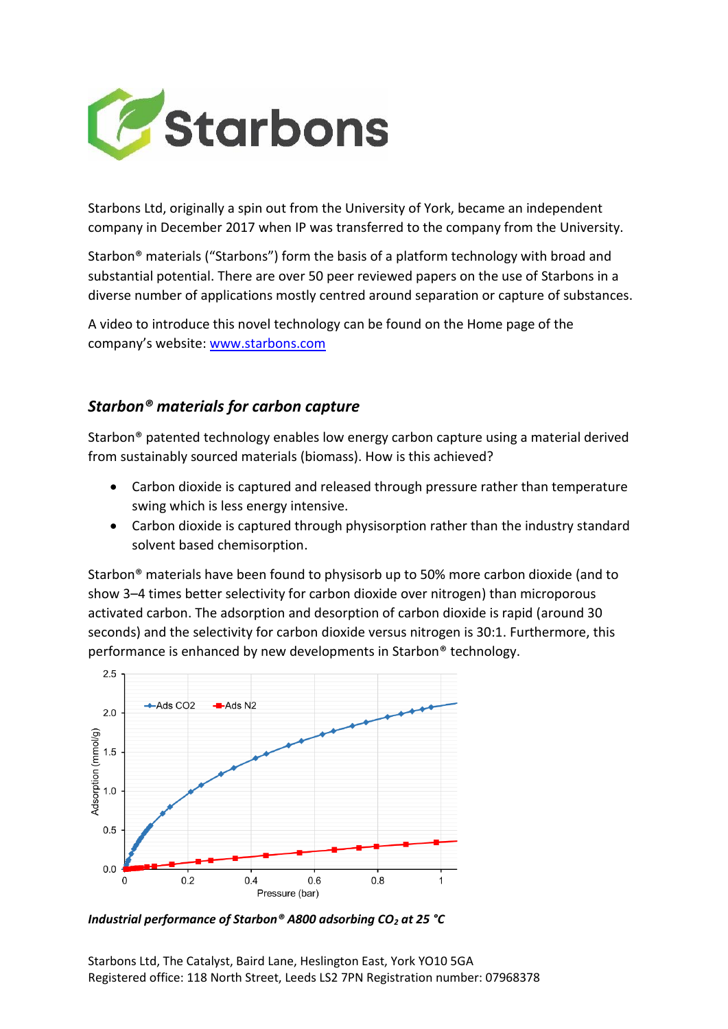

Starbons Ltd, originally a spin out from the University of York, became an independent company in December 2017 when IP was transferred to the company from the University.

Starbon® materials ("Starbons") form the basis of a platform technology with broad and substantial potential. There are over 50 peer reviewed papers on the use of Starbons in a diverse number of applications mostly centred around separation or capture of substances.

A video to introduce this novel technology can be found on the Home page of the company's website: [www.starbons.com](http://www.starbons.com/)

## *Starbon® materials for carbon capture*

Starbon® patented technology enables low energy carbon capture using a material derived from sustainably sourced materials (biomass). How is this achieved?

- Carbon dioxide is captured and released through pressure rather than temperature swing which is less energy intensive.
- Carbon dioxide is captured through physisorption rather than the industry standard solvent based chemisorption.

Starbon® materials have been found to physisorb up to 50% more carbon dioxide (and to show 3–4 times better selectivity for carbon dioxide over nitrogen) than microporous activated carbon. The adsorption and desorption of carbon dioxide is rapid (around 30 seconds) and the selectivity for carbon dioxide versus nitrogen is 30:1. Furthermore, this performance is enhanced by new developments in Starbon® technology.



*Industrial performance of Starbon® A800 adsorbing CO<sup>2</sup> at 25 °C*

Starbons Ltd, The Catalyst, Baird Lane, Heslington East, York YO10 5GA Registered office: 118 North Street, Leeds LS2 7PN Registration number: 07968378